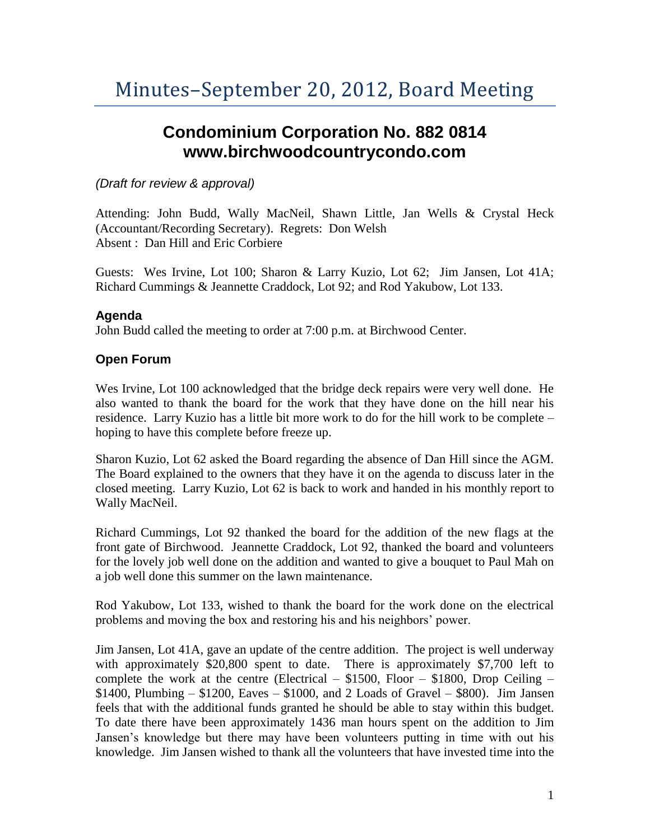# **Condominium Corporation No. 882 0814 www.birchwoodcountrycondo.com**

## *(Draft for review & approval)*

Attending: John Budd, Wally MacNeil, Shawn Little, Jan Wells & Crystal Heck (Accountant/Recording Secretary). Regrets: Don Welsh Absent : Dan Hill and Eric Corbiere

Guests: Wes Irvine, Lot 100; Sharon & Larry Kuzio, Lot 62; Jim Jansen, Lot 41A; Richard Cummings & Jeannette Craddock, Lot 92; and Rod Yakubow, Lot 133.

#### **Agenda**

John Budd called the meeting to order at 7:00 p.m. at Birchwood Center.

## **Open Forum**

Wes Irvine, Lot 100 acknowledged that the bridge deck repairs were very well done. He also wanted to thank the board for the work that they have done on the hill near his residence. Larry Kuzio has a little bit more work to do for the hill work to be complete – hoping to have this complete before freeze up.

Sharon Kuzio, Lot 62 asked the Board regarding the absence of Dan Hill since the AGM. The Board explained to the owners that they have it on the agenda to discuss later in the closed meeting. Larry Kuzio, Lot 62 is back to work and handed in his monthly report to Wally MacNeil.

Richard Cummings, Lot 92 thanked the board for the addition of the new flags at the front gate of Birchwood. Jeannette Craddock, Lot 92, thanked the board and volunteers for the lovely job well done on the addition and wanted to give a bouquet to Paul Mah on a job well done this summer on the lawn maintenance.

Rod Yakubow, Lot 133, wished to thank the board for the work done on the electrical problems and moving the box and restoring his and his neighbors' power.

Jim Jansen, Lot 41A, gave an update of the centre addition. The project is well underway with approximately \$20,800 spent to date. There is approximately \$7,700 left to complete the work at the centre (Electrical –  $$1500$ , Floor –  $$1800$ , Drop Ceiling –  $$1400, Plumbing - $1200, Eaves - $1000, and 2 Loads of Gravel - $800).$  Jim Jansen feels that with the additional funds granted he should be able to stay within this budget. To date there have been approximately 1436 man hours spent on the addition to Jim Jansen's knowledge but there may have been volunteers putting in time with out his knowledge. Jim Jansen wished to thank all the volunteers that have invested time into the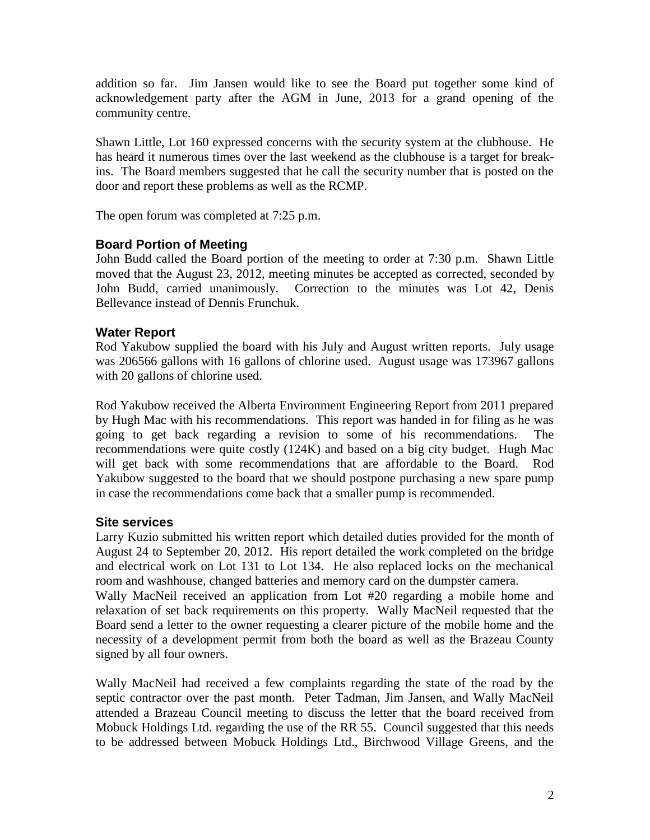addition so far. Jim Jansen would like to see the Board put together some kind of acknowledgement party after the AGM in June, 2013 for a grand opening of the community centre.

Shawn Little, Lot 160 expressed concerns with the security system at the clubhouse. He has heard it numerous times over the last weekend as the clubhouse is a target for breakins. The Board members suggested that he call the security number that is posted on the door and report these problems as well as the RCMP.

The open forum was completed at 7:25 p.m.

## **Board Portion of Meeting**

John Budd called the Board portion of the meeting to order at 7:30 p.m. Shawn Little moved that the August 23, 2012, meeting minutes be accepted as corrected, seconded by John Budd, carried unanimously. Correction to the minutes was Lot 42, Denis Bellevance instead of Dennis Frunchuk.

## **Water Report**

Rod Yakubow supplied the board with his July and August written reports. July usage was 206566 gallons with 16 gallons of chlorine used. August usage was 173967 gallons with 20 gallons of chlorine used.

Rod Yakubow received the Alberta Environment Engineering Report from 2011 prepared by Hugh Mac with his recommendations. This report was handed in for filing as he was going to get back regarding a revision to some of his recommendations. The recommendations were quite costly (124K) and based on a big city budget. Hugh Mac will get back with some recommendations that are affordable to the Board. Rod Yakubow suggested to the board that we should postpone purchasing a new spare pump in case the recommendations come back that a smaller pump is recommended.

#### **Site services**

Larry Kuzio submitted his written report which detailed duties provided for the month of August 24 to September 20, 2012. His report detailed the work completed on the bridge and electrical work on Lot 131 to Lot 134. He also replaced locks on the mechanical room and washhouse, changed batteries and memory card on the dumpster camera.

Wally MacNeil received an application from Lot #20 regarding a mobile home and relaxation of set back requirements on this property. Wally MacNeil requested that the Board send a letter to the owner requesting a clearer picture of the mobile home and the necessity of a development permit from both the board as well as the Brazeau County signed by all four owners.

Wally MacNeil had received a few complaints regarding the state of the road by the septic contractor over the past month. Peter Tadman, Jim Jansen, and Wally MacNeil attended a Brazeau Council meeting to discuss the letter that the board received from Mobuck Holdings Ltd. regarding the use of the RR 55. Council suggested that this needs to be addressed between Mobuck Holdings Ltd., Birchwood Village Greens, and the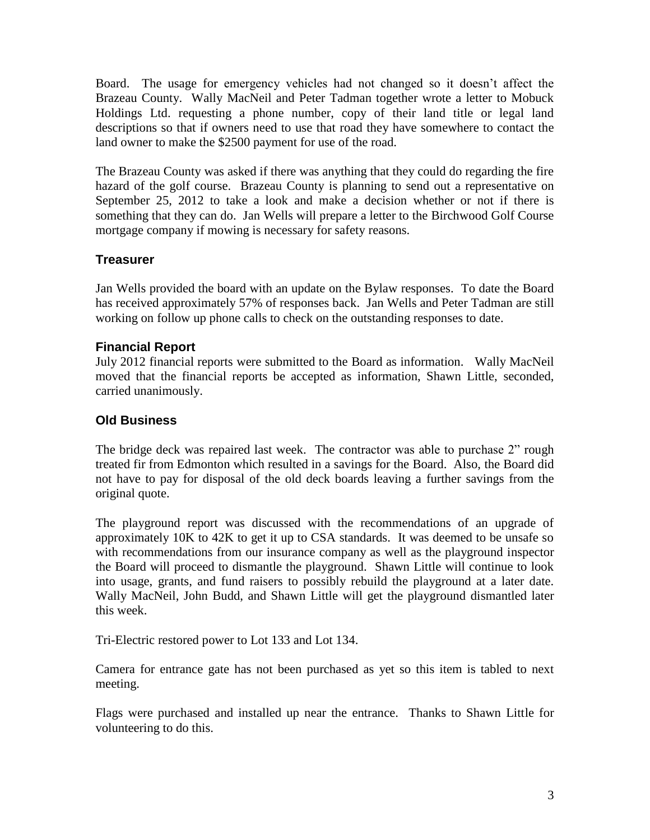Board. The usage for emergency vehicles had not changed so it doesn't affect the Brazeau County. Wally MacNeil and Peter Tadman together wrote a letter to Mobuck Holdings Ltd. requesting a phone number, copy of their land title or legal land descriptions so that if owners need to use that road they have somewhere to contact the land owner to make the \$2500 payment for use of the road.

The Brazeau County was asked if there was anything that they could do regarding the fire hazard of the golf course. Brazeau County is planning to send out a representative on September 25, 2012 to take a look and make a decision whether or not if there is something that they can do. Jan Wells will prepare a letter to the Birchwood Golf Course mortgage company if mowing is necessary for safety reasons.

## **Treasurer**

Jan Wells provided the board with an update on the Bylaw responses. To date the Board has received approximately 57% of responses back. Jan Wells and Peter Tadman are still working on follow up phone calls to check on the outstanding responses to date.

#### **Financial Report**

July 2012 financial reports were submitted to the Board as information. Wally MacNeil moved that the financial reports be accepted as information, Shawn Little, seconded, carried unanimously.

## **Old Business**

The bridge deck was repaired last week. The contractor was able to purchase 2" rough treated fir from Edmonton which resulted in a savings for the Board. Also, the Board did not have to pay for disposal of the old deck boards leaving a further savings from the original quote.

The playground report was discussed with the recommendations of an upgrade of approximately 10K to 42K to get it up to CSA standards. It was deemed to be unsafe so with recommendations from our insurance company as well as the playground inspector the Board will proceed to dismantle the playground. Shawn Little will continue to look into usage, grants, and fund raisers to possibly rebuild the playground at a later date. Wally MacNeil, John Budd, and Shawn Little will get the playground dismantled later this week.

Tri-Electric restored power to Lot 133 and Lot 134.

Camera for entrance gate has not been purchased as yet so this item is tabled to next meeting.

Flags were purchased and installed up near the entrance. Thanks to Shawn Little for volunteering to do this.